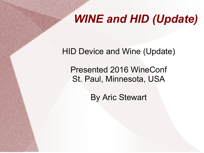## *WINE and HID (Update)*

HID Device and Wine (Update)

Presented 2016 WineConf St. Paul, Minnesota, USA

By Aric Stewart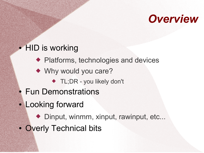### *Overview*

#### • HID is working

◆ Platforms, technologies and devices ◆ Why would you care? ◆ TL;DR - you likely don't • Fun Demonstrations • Looking forward ◆ Dinput, winmm, xinput, rawinput, etc... • Overly Technical bits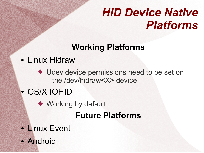# *HID Device Native Platforms*

#### **Working Platforms**

- Linux Hidraw
	- Udev device permissions need to be set on the /dev/hidraw<X> device
- OS/X IOHID
	- ◆ Working by default

#### **Future Platforms**

- Linux Event
- Android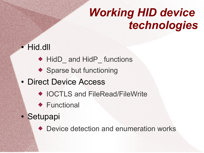# *Working HID device technologies*

#### • Hid.dll

- ◆ HidD and HidP functions
- ◆ Sparse but functioning
- Direct Device Access
	- ◆ **IOCTLS and FileRead/FileWrite**
	- ◆ Functional
- Setupapi

◆ Device detection and enumeration works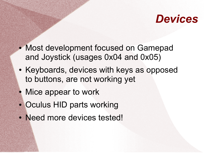

- Most development focused on Gamepad and Joystick (usages 0x04 and 0x05)
- Keyboards, devices with keys as opposed to buttons, are not working yet
- Mice appear to work
- Oculus HID parts working
- Need more devices tested!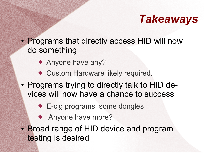## *Takeaways*

• Programs that directly access HID will now do something

- ◆ Anyone have any?
- ◆ Custom Hardware likely required.
- Programs trying to directly talk to HID devices will now have a chance to success
	- ◆ E-cig programs, some dongles
	- ◆ Anyone have more?
- Broad range of HID device and program testing is desired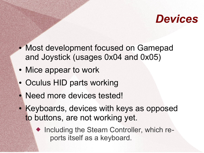

- Most development focused on Gamepad and Joystick (usages 0x04 and 0x05)
- Mice appear to work
- Oculus HID parts working
- Need more devices tested!
- Keyboards, devices with keys as opposed to buttons, are not working yet.
	- ◆ Including the Steam Controller, which reports itself as a keyboard.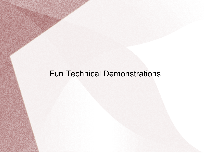#### Fun Technical Demonstrations.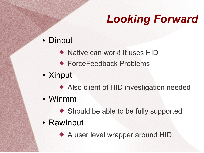# *Looking Forward*

- Dinput
	- ◆ Native can work! It uses HID
	- ◆ ForceFeedback Problems
- Xinput
	- ◆ Also client of HID investigation needed
- Winmm
	- ◆ Should be able to be fully supported
- RawInput
	- ◆ A user level wrapper around HID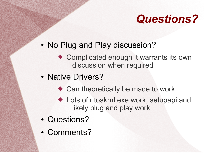# *Questions?*

- No Plug and Play discussion?
	- ◆ Complicated enough it warrants its own discussion when required
- Native Drivers?
	- ◆ Can theoretically be made to work
	- ◆ Lots of ntoskrnl.exe work, setupapi and likely plug and play work
- Questions?
- Comments?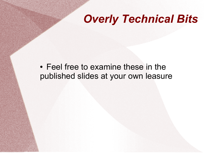### *Overly Technical Bits*

#### • Feel free to examine these in the published slides at your own leasure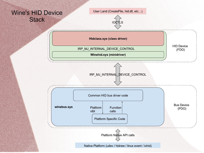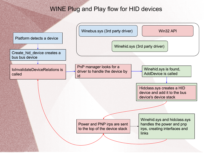#### WINE Plug and Play flow for HID devices

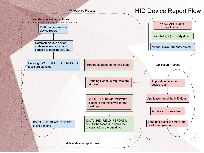